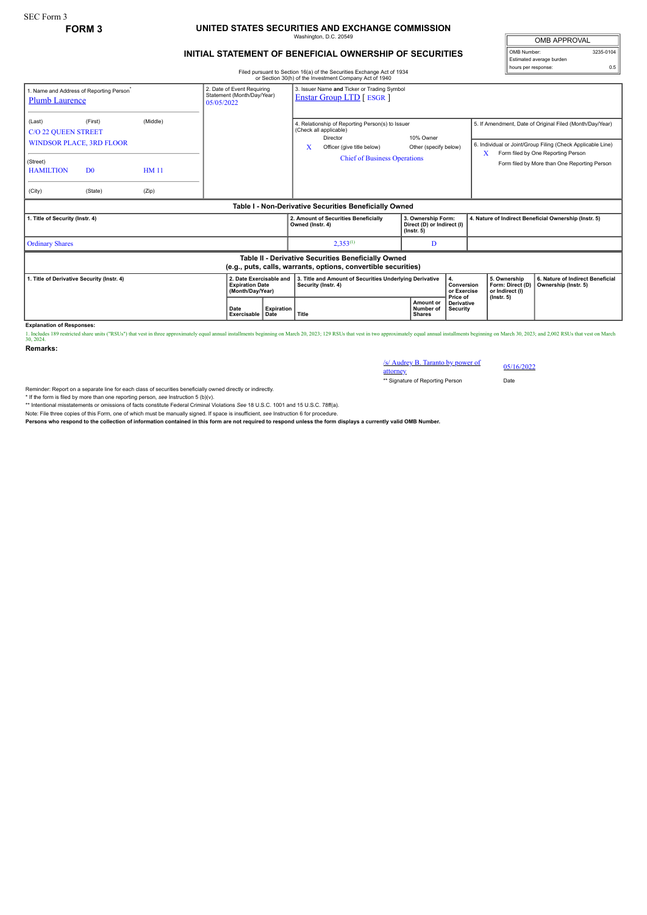## **FORM 3 UNITED STATES SECURITIES AND EXCHANGE COMMISSION** Washington, D.C. 20549

## **INITIAL STATEMENT OF BENEFICIAL OWNERSHIP OF SECURITIES**

Filed pursuant to Section 16(a) of the Securities Exchange Act of 1934 or Section 30(h) of the Investment Company Act of 1940

OMB APPROVAL OMB Number: 3235-0104 Estimated average burden hours per response: 0.5

|                                                                                                                       |                                                                         |                                                                        |                     |                                                                                 | OF SECTION SOIT!) OF THE INVESTMENT COMPANY ACT OF 1940                                                                                                          |                                                                               |          |                                                                         |                                                                                                                                                                                                               |
|-----------------------------------------------------------------------------------------------------------------------|-------------------------------------------------------------------------|------------------------------------------------------------------------|---------------------|---------------------------------------------------------------------------------|------------------------------------------------------------------------------------------------------------------------------------------------------------------|-------------------------------------------------------------------------------|----------|-------------------------------------------------------------------------|---------------------------------------------------------------------------------------------------------------------------------------------------------------------------------------------------------------|
| 1. Name and Address of Reporting Person <sup>®</sup><br><b>Plumb Laurence</b>                                         |                                                                         | 2. Date of Event Requiring<br>Statement (Month/Day/Year)<br>05/05/2022 |                     | 3. Issuer Name and Ticker or Trading Symbol<br><b>Enstar Group LTD</b> [ ESGR ] |                                                                                                                                                                  |                                                                               |          |                                                                         |                                                                                                                                                                                                               |
| (Last)<br><b>C/O 22 QUEEN STREET</b><br>(Street)<br><b>HAMILTION</b><br>(City)                                        | (First)<br><b>WINDSOR PLACE, 3RD FLOOR</b><br>D <sub>0</sub><br>(State) | (Middle)<br><b>HM 11</b><br>(Zip)                                      |                     |                                                                                 | 4. Relationship of Reporting Person(s) to Issuer<br>(Check all applicable)<br>Director<br>x<br>Officer (give title below)<br><b>Chief of Business Operations</b> | 10% Owner<br>Other (specify below)                                            |          | X                                                                       | 5. If Amendment, Date of Original Filed (Month/Day/Year)<br>6. Individual or Joint/Group Filing (Check Applicable Line)<br>Form filed by One Reporting Person<br>Form filed by More than One Reporting Person |
|                                                                                                                       |                                                                         |                                                                        |                     |                                                                                 |                                                                                                                                                                  |                                                                               |          |                                                                         |                                                                                                                                                                                                               |
|                                                                                                                       |                                                                         |                                                                        |                     |                                                                                 | Table I - Non-Derivative Securities Beneficially Owned                                                                                                           |                                                                               |          |                                                                         |                                                                                                                                                                                                               |
| 1. Title of Security (Instr. 4)                                                                                       |                                                                         |                                                                        |                     |                                                                                 | 2. Amount of Securities Beneficially<br>Owned (Instr. 4)                                                                                                         | 3. Ownership Form:<br>Direct (D) or Indirect (I)<br>$($ lnstr. 5 $)$          |          |                                                                         | 4. Nature of Indirect Beneficial Ownership (Instr. 5)                                                                                                                                                         |
| <b>Ordinary Shares</b>                                                                                                |                                                                         |                                                                        |                     |                                                                                 | $2,353^{(1)}$                                                                                                                                                    | D                                                                             |          |                                                                         |                                                                                                                                                                                                               |
| Table II - Derivative Securities Beneficially Owned<br>(e.g., puts, calls, warrants, options, convertible securities) |                                                                         |                                                                        |                     |                                                                                 |                                                                                                                                                                  |                                                                               |          |                                                                         |                                                                                                                                                                                                               |
| 1. Title of Derivative Security (Instr. 4)                                                                            |                                                                         |                                                                        |                     | 2. Date Exercisable and<br><b>Expiration Date</b><br>(Month/Day/Year)           | 3. Title and Amount of Securities Underlying Derivative<br>Security (Instr. 4)                                                                                   | 4.<br>Conversion<br>or Exercise<br>Price of<br>Amount or<br><b>Derivative</b> |          | 5. Ownership<br>Form: Direct (D)<br>or Indirect (I)<br>$($ lnstr. 5 $)$ | 6. Nature of Indirect Beneficial<br>Ownership (Instr. 5)                                                                                                                                                      |
|                                                                                                                       |                                                                         |                                                                        | Date<br>Exercisable | Expiration<br>Date                                                              | <b>Title</b>                                                                                                                                                     | Number of<br><b>Shares</b>                                                    | Security |                                                                         |                                                                                                                                                                                                               |

**Explanation of Responses:**<br>1. Includes 189 restricted share units ("RSUs") that vest in three approximately equal annual installments beginning on March 20, 2023; 129 RSUs that vest in two approximately equal annual insta

**Remarks:**

/s/ Audrey B. Taranto by power of attorney 05/16/2022 \*\* Signature of Reporting Person Date

Reminder: Report on a separate line for each class of securities beneficially owned directly or indirectly.

\* If the form is filed by more than one reporting person, *see* Instruction 5 (b)(v).

\*\* Intentional misstatements or omissions of facts constitute Federal Criminal Violations *See* 18 U.S.C. 1001 and 15 U.S.C. 78ff(a).

Note: File three copies of this Form, one of which must be manually signed. If space is insufficient, see Instruction 6 for procedure.<br>Persons who respond to the collection of information contained in this form are not req